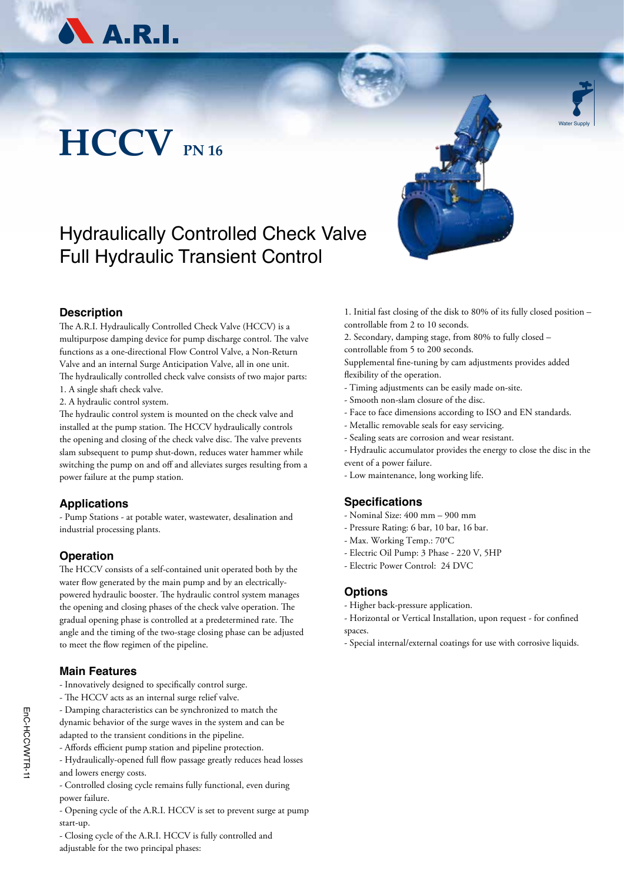

## **HCCV PN 16**



Water Supply

### Hydraulically Controlled Check Valve Full Hydraulic Transient Control



The A.R.I. Hydraulically Controlled Check Valve (HCCV) is a multipurpose damping device for pump discharge control. The valve functions as a one-directional Flow Control Valve, a Non-Return Valve and an internal Surge Anticipation Valve, all in one unit. The hydraulically controlled check valve consists of two major parts: 1. A single shaft check valve.

2. A hydraulic control system.

The hydraulic control system is mounted on the check valve and installed at the pump station. The HCCV hydraulically controls the opening and closing of the check valve disc. The valve prevents slam subsequent to pump shut-down, reduces water hammer while switching the pump on and off and alleviates surges resulting from a power failure at the pump station.

#### **Applications**

- Pump Stations - at potable water, wastewater, desalination and industrial processing plants.

#### **Operation**

The HCCV consists of a self-contained unit operated both by the water flow generated by the main pump and by an electricallypowered hydraulic booster. The hydraulic control system manages the opening and closing phases of the check valve operation. The gradual opening phase is controlled at a predetermined rate. The angle and the timing of the two-stage closing phase can be adjusted to meet the flow regimen of the pipeline.

#### **Main Features**

- Innovatively designed to specifically control surge.
- The HCCV acts as an internal surge relief valve.
- Damping characteristics can be synchronized to match the

dynamic behavior of the surge waves in the system and can be adapted to the transient conditions in the pipeline.

- Affords efficient pump station and pipeline protection.
- Hydraulically-opened full flow passage greatly reduces head losses and lowers energy costs.
- Controlled closing cycle remains fully functional, even during power failure.
- Opening cycle of the A.R.I. HCCV is set to prevent surge at pump start-up.

- Closing cycle of the A.R.I. HCCV is fully controlled and adjustable for the two principal phases:

1. Initial fast closing of the disk to 80% of its fully closed position – controllable from 2 to 10 seconds.

2. Secondary, damping stage, from 80% to fully closed – controllable from 5 to 200 seconds.

Supplemental fine-tuning by cam adjustments provides added flexibility of the operation.

- Timing adjustments can be easily made on-site.
- Smooth non-slam closure of the disc.
- Face to face dimensions according to ISO and EN standards.
- Metallic removable seals for easy servicing.
- Sealing seats are corrosion and wear resistant.

- Hydraulic accumulator provides the energy to close the disc in the event of a power failure.

- Low maintenance, long working life.

#### **Specifications**

- Nominal Size: 400 mm 900 mm
- Pressure Rating: 6 bar, 10 bar, 16 bar.
- Max. Working Temp.: 70°C
- Electric Oil Pump: 3 Phase 220 V, 5HP
- Electric Power Control: 24 DVC

#### **Options**

- Higher back-pressure application.

- Horizontal or Vertical Installation, upon request - for confined spaces.

- Special internal/external coatings for use with corrosive liquids.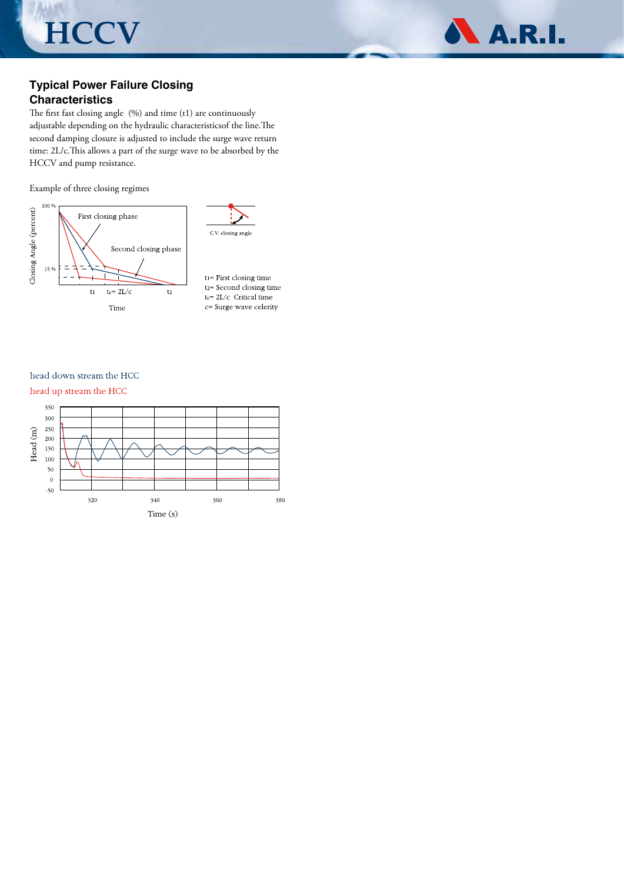**HCCV**



#### **Typical Power Failure Closing Characteristics**

The first fast closing angle (%) and time (t1) are continuously adjustable depending on the hydraulic characteristicsof the line.The second damping closure is adjusted to include the surge wave return time: 2L/c.This allows a part of the surge wave to be absorbed by the HCCV and pump resistance.

Example of three closing regimes



 $t_1$ = First closing time t2= Second closing time tc= 2L/c Critical time c= Surge wave celerity

head down stream the HCC

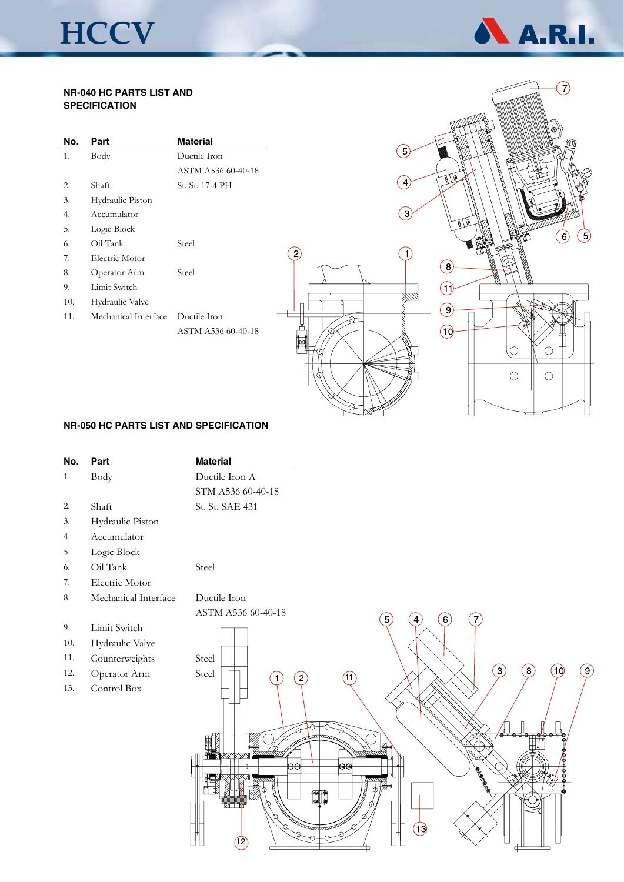# **HCCV**



#### **NR-040 HC PARTS LIST AND SPECIFICATION**

| No. | Part                 | <b>Material</b>    |
|-----|----------------------|--------------------|
| 1.  | Body                 | Ductile Iron       |
|     |                      | ASTM A536 60-40-18 |
| 2.  | Shaft                | St. St. 17-4 PH    |
| 3.  | Hydraulic Piston     |                    |
| 4.  | Accumulator          |                    |
| 5.  | Logic Block          |                    |
| 6.  | Oil Tank             | Steel              |
| 7.  | Electric Motor       |                    |
| 8.  | Operator Arm         | Steel              |
| 9.  | Limit Switch         |                    |
| 10. | Hydraulic Valve      |                    |
| 11. | Mechanical Interface | Ductile Iron       |
|     |                      | ASTM A536 60-40-18 |



#### **NR-050 HC PARTS LIST AND SPECIFICATION**

| No. | Part                 | <b>Material</b>                                                                                |
|-----|----------------------|------------------------------------------------------------------------------------------------|
| 1.  | Body                 | Ductile Iron A                                                                                 |
|     |                      | STM A536 60-40-18                                                                              |
| 2.  | Shaft                | St. St. SAE 431                                                                                |
| 3.  | Hydraulic Piston     |                                                                                                |
| 4.  | Accumulator          |                                                                                                |
| 5.  | Logic Block          |                                                                                                |
| 6.  | Oil Tank             | Steel                                                                                          |
| 7.  | Electric Motor       |                                                                                                |
| 8.  | Mechanical Interface | Ductile Iron                                                                                   |
|     |                      | ASTM A536 60-40-18<br>5)<br>(6)<br>$\overline{4}$<br>7                                         |
| 9.  | Limit Switch         |                                                                                                |
| 10. | Hydraulic Valve      |                                                                                                |
| 11. | Counterweights       | Steel                                                                                          |
| 12. | Operator Arm         | $\left(3\right)$<br>(9)<br>$\left[8\right]$<br>(10)<br>Steel<br>$\left( 2\right)$<br>(11)<br>1 |
| 13. | Control Box          |                                                                                                |
|     |                      |                                                                                                |
|     |                      |                                                                                                |
|     |                      | ံ⊜ံ⊝റ്<br><del>⊱©</del> /ò @                                                                   |
|     |                      |                                                                                                |
|     |                      | $\Theta$<br>ΘΘ                                                                                 |
|     |                      | <b>CONSTRUCTION</b>                                                                            |
|     |                      | ∩¶Փ                                                                                            |
|     |                      | anggunaangg                                                                                    |
|     |                      | <b>REGISTERED</b><br>13)                                                                       |
|     |                      | (12)                                                                                           |
|     |                      |                                                                                                |

 $\overline{2}$